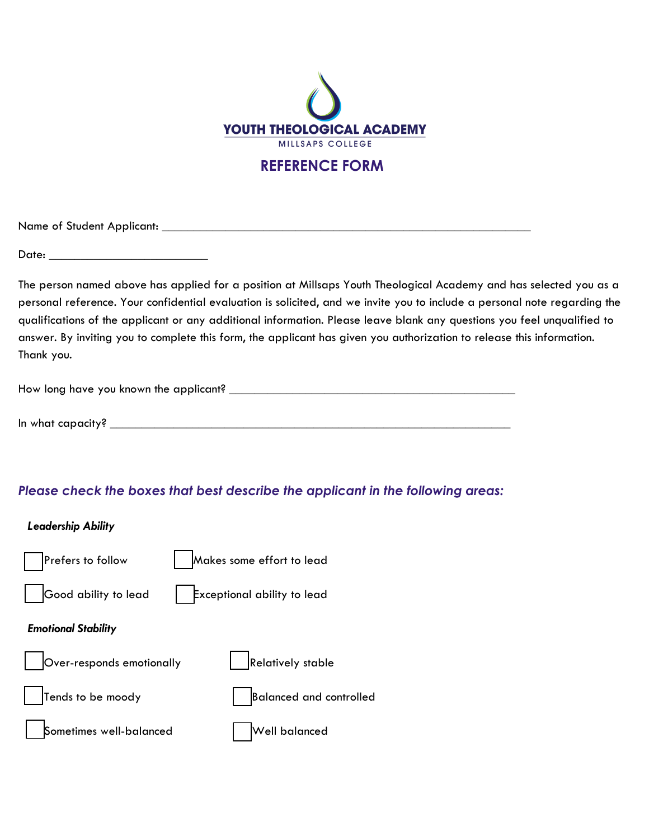

# REFERENCE FORM

Name of Student Applicant: \_\_\_\_\_\_\_\_\_\_\_\_\_\_\_\_\_\_\_\_\_\_\_\_\_\_\_\_\_\_\_\_\_\_\_\_\_\_\_\_\_\_\_\_\_\_\_\_\_\_\_\_\_\_\_\_\_\_

Date: \_\_\_\_\_\_\_\_\_\_\_\_\_\_\_\_\_\_\_\_\_\_\_\_\_

The person named above has applied for a position at Millsaps Youth Theological Academy and has selected you as a personal reference. Your confidential evaluation is solicited, and we invite you to include a personal note regarding the qualifications of the applicant or any additional information. Please leave blank any questions you feel unqualified to answer. By inviting you to complete this form, the applicant has given you authorization to release this information. Thank you.

How long have you known the applicant? \_\_\_\_\_\_\_\_\_\_\_\_\_\_\_\_\_\_\_\_\_\_\_\_\_\_\_\_\_\_\_\_\_\_\_\_\_\_\_\_\_\_\_\_\_

In what capacity?  $\blacksquare$ 

### Please check the boxes that best describe the applicant in the following areas:

#### Leadership Ability

| Prefers to follow          | Makes some effort to lead      |
|----------------------------|--------------------------------|
| Good ability to lead       | Exceptional ability to lead    |
| <b>Emotional Stability</b> |                                |
| Over-responds emotionally  | Relatively stable              |
| Tends to be moody          | <b>Balanced and controlled</b> |
| Sometimes well-balanced    | Well balanced                  |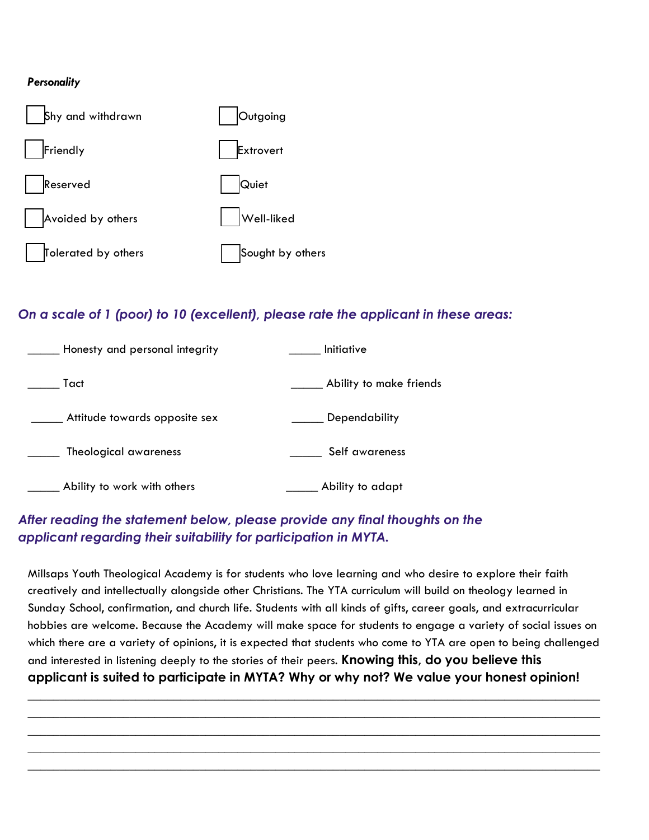#### **Personality**



## On a scale of 1 (poor) to 10 (excellent), please rate the applicant in these areas:

| Honesty and personal integrity | <i><u><b>Initiative</b></u></i> |
|--------------------------------|---------------------------------|
| Tact                           | Ability to make friends         |
| Attitude towards opposite sex  | Dependability                   |
| Theological awareness          | Self awareness                  |
| Ability to work with others    | Ability to adapt                |

## After reading the statement below, please provide any final thoughts on the applicant regarding their suitability for participation in MYTA.

Millsaps Youth Theological Academy is for students who love learning and who desire to explore their faith creatively and intellectually alongside other Christians. The YTA curriculum will build on theology learned in Sunday School, confirmation, and church life. Students with all kinds of gifts, career goals, and extracurricular hobbies are welcome. Because the Academy will make space for students to engage a variety of social issues on which there are a variety of opinions, it is expected that students who come to YTA are open to being challenged and interested in listening deeply to the stories of their peers. Knowing this, do you believe this applicant is suited to participate in MYTA? Why or why not? We value your honest opinion!

 $\_$  , and the set of the set of the set of the set of the set of the set of the set of the set of the set of the set of the set of the set of the set of the set of the set of the set of the set of the set of the set of th  $\_$  , and the set of the set of the set of the set of the set of the set of the set of the set of the set of the set of the set of the set of the set of the set of the set of the set of the set of the set of the set of th  $\_$  , and the set of the set of the set of the set of the set of the set of the set of the set of the set of the set of the set of the set of the set of the set of the set of the set of the set of the set of the set of th  $\_$  , and the set of the set of the set of the set of the set of the set of the set of the set of the set of the set of the set of the set of the set of the set of the set of the set of the set of the set of the set of th  $\_$  , and the set of the set of the set of the set of the set of the set of the set of the set of the set of the set of the set of the set of the set of the set of the set of the set of the set of the set of the set of th